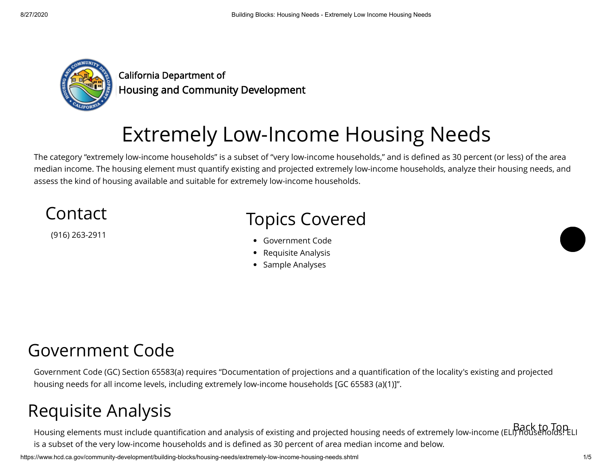

California Department of California Department of<br>Housing and Community Development

# Extremely Low-Income Housing Needs

The category "extremely low-income households" is a subset of "very low-income households," and is defined as 30 percent (or less) of the area median income. The housing element must quantify existing and projected extremely low-income households, analyze their housing needs, and assess the kind of housing available and suitable for extremely low-income households.

### Contact (916) 263-2911 Topics Covered [Government Code](#page-0-0) • • [Requisite Analysis](#page-0-1)

• [Sample Analyses](#page-3-0)

### <span id="page-0-0"></span>Government Code

Government Code (GC) Section 65583(a) requires "Documentation of projections and a quantification of the locality's existing and projected housing needs for all income levels, including extremely low-income households [GC 65583 (a)(1)]".

## <span id="page-0-1"></span>Requisite Analysis

Housing elements must include quantification and analysis of existing and projected housing needs of extremely low-income (ELI) households. ELI<br>Housing elements must include quantification and analysis of existing and proj is a subset of the very low-income households and is defined as 30 percent of area median income and below.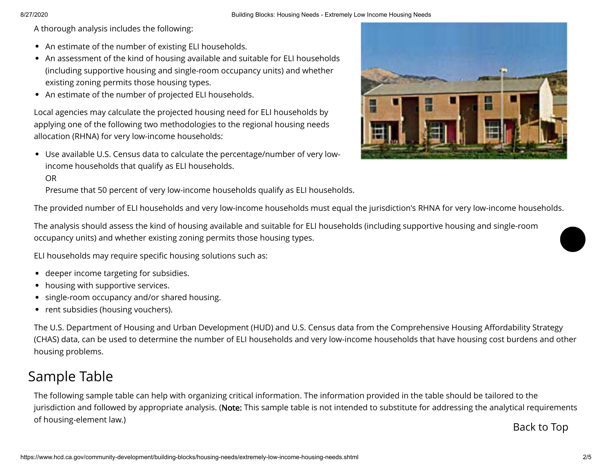A thorough analysis includes the following:

- An estimate of the number of existing ELI households. •
- An assessment of the kind of housing available and suitable for ELI households (including supportive housing and single-room occupancy units) and whether existing zoning permits those housing types.
- An estimate of the number of projected ELI households. •

Local agencies may calculate the projected housing need for ELI households by applying one of the following two methodologies to the regional housing needs allocation (RHNA) for very low-income households:

Use available U.S. Census data to calculate the percentage/number of very low-• income households that qualify as ELI households.



Presume that 50 percent of very low-income households qualify as ELI households.

The provided number of ELI households and very low-income households must equal the jurisdiction's RHNA for very low-income households.

The analysis should assess the kind of housing available and suitable for ELI households (including supportive housing and single-room occupancy units) and whether existing zoning permits those housing types.

ELI households may require specific housing solutions such as:

- deeper income targeting for subsidies. •
- housing with supportive services.
- single-room occupancy and/or shared housing.
- rent subsidies (housing vouchers).

The U.S. Department of Housing and Urban Development (HUD) and U.S. Census data from the Comprehensive Housing Affordability Strategy (CHAS) data, can be used to determine the number of ELI households and very low-income households that have housing cost burdens and other housing problems.

### Sample Table

The following sample table can help with organizing critical information. The information provided in the table should be tailored to the jurisdiction and followed by appropriate analysis. (**Note:** This sample table is not intended to substitute for addressing the analytical requirements of housing-element law.)

Back to Top



https://www.hcd.ca.gov/community-development/building-blocks/housing-needs/extremely-low-income-housing-needs.shtml 2/5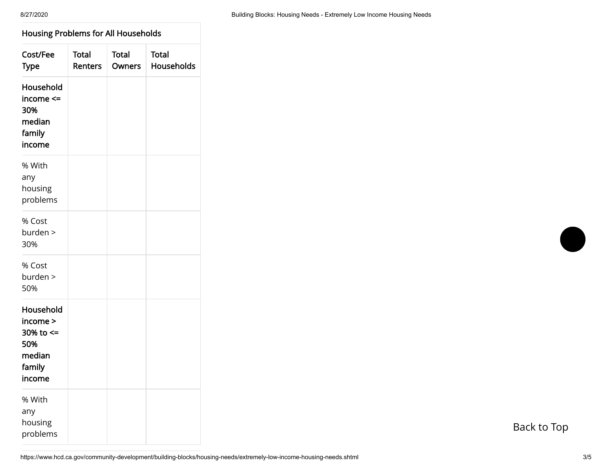### Housing Problems for All Households Housing Problems for **All** Households 7

| Cost/Fee<br><b>Type</b>                                                    | <b>Total</b><br><b>Renters</b> | <b>Total</b><br><b>Owners</b> | <b>Total</b><br><b>Households</b> |
|----------------------------------------------------------------------------|--------------------------------|-------------------------------|-----------------------------------|
| Household<br>income <=<br>30%<br>median<br>family<br>income                |                                |                               |                                   |
| % With<br>any<br>housing<br>problems                                       |                                |                               |                                   |
| % Cost<br>burden ><br>30%                                                  |                                |                               |                                   |
| % Cost<br>burden ><br>50%                                                  |                                |                               |                                   |
| Household<br>income ><br>30% to $\le$<br>50%<br>median<br>family<br>income |                                |                               |                                   |
| % With<br>any<br>housing<br>problems                                       |                                |                               |                                   |

Back to Top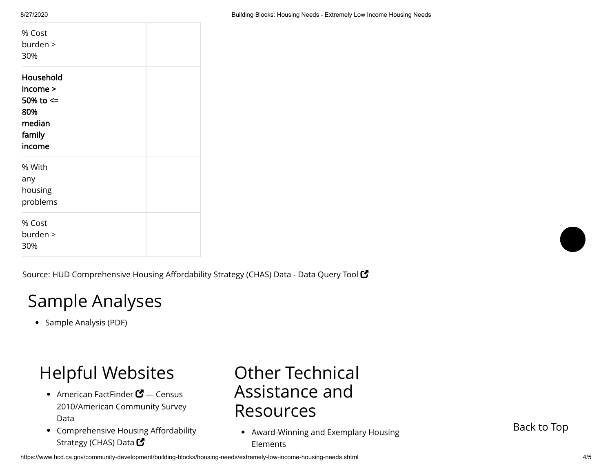| % Cost<br>burden ><br>30%                                               |  |  |
|-------------------------------------------------------------------------|--|--|
| Household<br>income ><br>50% to <=<br>80%<br>median<br>family<br>income |  |  |
| % With<br>any<br>housing<br>problems                                    |  |  |
| % Cost<br>burden ><br>30%                                               |  |  |

8/27/2020 Building Blocks: Housing Needs - Extremely Low Income Housing Needs

Source: [HUD Comprehensive Housing Affordability Strategy \(CHAS\) Data - Data Query Tool](http://www.huduser.org/portal/datasets/cp/CHAS/data_querytool_chas.html)  $\mathbf C$ 

## <span id="page-3-0"></span>Sample Analyses

• [Sample Analysis](https://www.hcd.ca.gov/community-development/building-blocks/housing-needs/extremely-low-income-housing-needs/docs/screen06sample1.pdf) (PDF)

# Helpful Websites

- [American FactFinder](http://factfinder2.census.gov/faces/nav/jsf/pages/index.xhtml)  $\mathbf{C}$  Census 2010/American Community Survey Data
- Comprehensive Housing Affordability • Strategy (CHAS) Data  $\bm{\mathcal{G}}$

### Other Technical Assistance and Resources

[Award-Winning and Exemplary Housing](https://www.hcd.ca.gov/community-development/award-winning.shtml) Elements

Back to Top